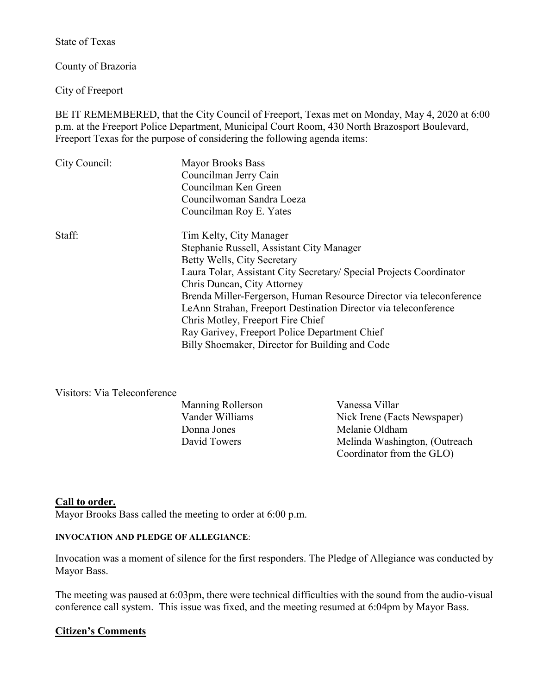State of Texas

County of Brazoria

City of Freeport

BE IT REMEMBERED, that the City Council of Freeport, Texas met on Monday, May 4, 2020 at 6:00 p.m. at the Freeport Police Department, Municipal Court Room, 430 North Brazosport Boulevard, Freeport Texas for the purpose of considering the following agenda items:

| City Council: | <b>Mayor Brooks Bass</b><br>Councilman Jerry Cain<br>Councilman Ken Green<br>Councilwoman Sandra Loeza |
|---------------|--------------------------------------------------------------------------------------------------------|
|               | Councilman Roy E. Yates                                                                                |
| Staff:        | Tim Kelty, City Manager                                                                                |
|               | Stephanie Russell, Assistant City Manager                                                              |
|               | Betty Wells, City Secretary                                                                            |
|               | Laura Tolar, Assistant City Secretary/ Special Projects Coordinator                                    |
|               | Chris Duncan, City Attorney                                                                            |
|               | Brenda Miller-Fergerson, Human Resource Director via teleconference                                    |
|               | LeAnn Strahan, Freeport Destination Director via teleconference                                        |
|               | Chris Motley, Freeport Fire Chief                                                                      |
|               | Ray Garivey, Freeport Police Department Chief                                                          |
|               | Billy Shoemaker, Director for Building and Code                                                        |

### Visitors: Via Teleconference

| <b>Manning Rollerson</b> | Vanessa Villar    |
|--------------------------|-------------------|
| Vander Williams          | Nick Irene (Facts |
| Donna Jones              | Melanie Oldham    |
| David Towers             | Melinda Washing   |

Nick Irene (Facts Newspaper) David Towers Melinda Washington, (Outreach Coordinator from the GLO)

### **Call to order.**

Mayor Brooks Bass called the meeting to order at 6:00 p.m.

#### **INVOCATION AND PLEDGE OF ALLEGIANCE**:

Invocation was a moment of silence for the first responders. The Pledge of Allegiance was conducted by Mayor Bass.

The meeting was paused at 6:03pm, there were technical difficulties with the sound from the audio-visual conference call system. This issue was fixed, and the meeting resumed at 6:04pm by Mayor Bass.

### **Citizen's Comments**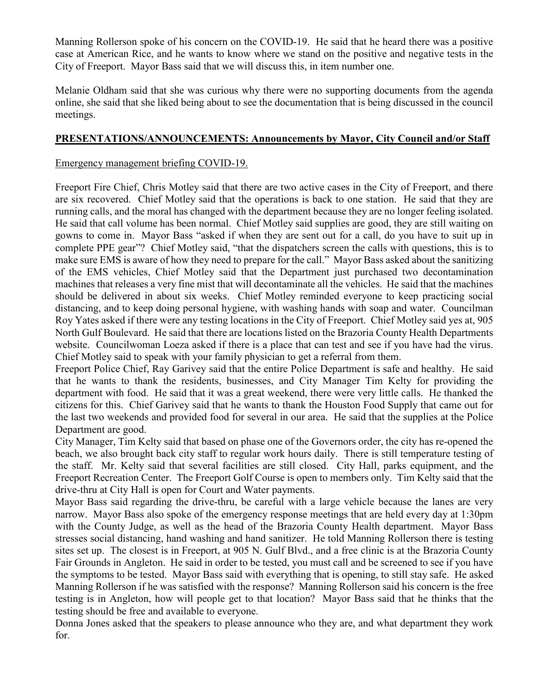Manning Rollerson spoke of his concern on the COVID-19. He said that he heard there was a positive case at American Rice, and he wants to know where we stand on the positive and negative tests in the City of Freeport. Mayor Bass said that we will discuss this, in item number one.

Melanie Oldham said that she was curious why there were no supporting documents from the agenda online, she said that she liked being about to see the documentation that is being discussed in the council meetings.

# **PRESENTATIONS/ANNOUNCEMENTS: Announcements by Mayor, City Council and/or Staff**

### Emergency management briefing COVID-19.

Freeport Fire Chief, Chris Motley said that there are two active cases in the City of Freeport, and there are six recovered. Chief Motley said that the operations is back to one station. He said that they are running calls, and the moral has changed with the department because they are no longer feeling isolated. He said that call volume has been normal. Chief Motley said supplies are good, they are still waiting on gowns to come in. Mayor Bass "asked if when they are sent out for a call, do you have to suit up in complete PPE gear"? Chief Motley said, "that the dispatchers screen the calls with questions, this is to make sure EMS is aware of how they need to prepare for the call." Mayor Bass asked about the sanitizing of the EMS vehicles, Chief Motley said that the Department just purchased two decontamination machines that releases a very fine mist that will decontaminate all the vehicles. He said that the machines should be delivered in about six weeks. Chief Motley reminded everyone to keep practicing social distancing, and to keep doing personal hygiene, with washing hands with soap and water. Councilman Roy Yates asked if there were any testing locations in the City of Freeport. Chief Motley said yes at, 905 North Gulf Boulevard. He said that there are locations listed on the Brazoria County Health Departments website. Councilwoman Loeza asked if there is a place that can test and see if you have had the virus. Chief Motley said to speak with your family physician to get a referral from them.

Freeport Police Chief, Ray Garivey said that the entire Police Department is safe and healthy. He said that he wants to thank the residents, businesses, and City Manager Tim Kelty for providing the department with food. He said that it was a great weekend, there were very little calls. He thanked the citizens for this. Chief Garivey said that he wants to thank the Houston Food Supply that came out for the last two weekends and provided food for several in our area. He said that the supplies at the Police Department are good.

City Manager, Tim Kelty said that based on phase one of the Governors order, the city has re-opened the beach, we also brought back city staff to regular work hours daily. There is still temperature testing of the staff. Mr. Kelty said that several facilities are still closed. City Hall, parks equipment, and the Freeport Recreation Center. The Freeport Golf Course is open to members only. Tim Kelty said that the drive-thru at City Hall is open for Court and Water payments.

Mayor Bass said regarding the drive-thru, be careful with a large vehicle because the lanes are very narrow. Mayor Bass also spoke of the emergency response meetings that are held every day at 1:30pm with the County Judge, as well as the head of the Brazoria County Health department. Mayor Bass stresses social distancing, hand washing and hand sanitizer. He told Manning Rollerson there is testing sites set up. The closest is in Freeport, at 905 N. Gulf Blvd., and a free clinic is at the Brazoria County Fair Grounds in Angleton. He said in order to be tested, you must call and be screened to see if you have the symptoms to be tested. Mayor Bass said with everything that is opening, to still stay safe. He asked Manning Rollerson if he was satisfied with the response? Manning Rollerson said his concern is the free testing is in Angleton, how will people get to that location? Mayor Bass said that he thinks that the testing should be free and available to everyone.

Donna Jones asked that the speakers to please announce who they are, and what department they work for.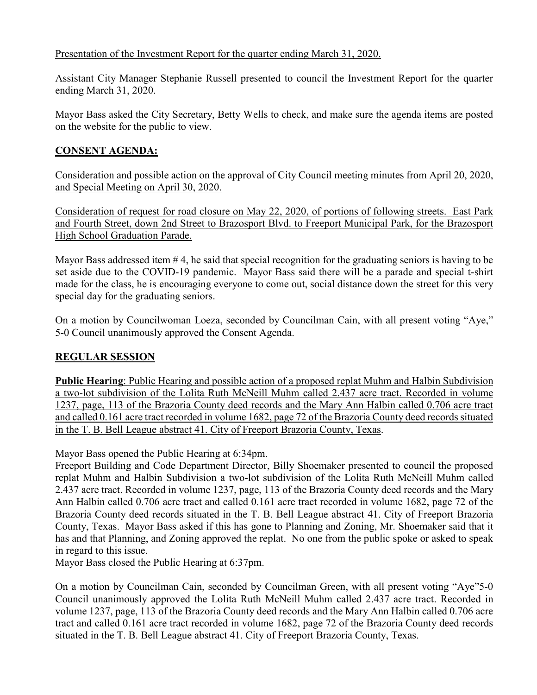# Presentation of the Investment Report for the quarter ending March 31, 2020.

Assistant City Manager Stephanie Russell presented to council the Investment Report for the quarter ending March 31, 2020.

Mayor Bass asked the City Secretary, Betty Wells to check, and make sure the agenda items are posted on the website for the public to view.

# **CONSENT AGENDA:**

Consideration and possible action on the approval of City Council meeting minutes from April 20, 2020, and Special Meeting on April 30, 2020.

Consideration of request for road closure on May 22, 2020, of portions of following streets. East Park and Fourth Street, down 2nd Street to Brazosport Blvd. to Freeport Municipal Park, for the Brazosport High School Graduation Parade.

Mayor Bass addressed item # 4, he said that special recognition for the graduating seniors is having to be set aside due to the COVID-19 pandemic. Mayor Bass said there will be a parade and special t-shirt made for the class, he is encouraging everyone to come out, social distance down the street for this very special day for the graduating seniors.

On a motion by Councilwoman Loeza, seconded by Councilman Cain, with all present voting "Aye," 5-0 Council unanimously approved the Consent Agenda.

# **REGULAR SESSION**

**Public Hearing**: Public Hearing and possible action of a proposed replat Muhm and Halbin Subdivision a two-lot subdivision of the Lolita Ruth McNeill Muhm called 2.437 acre tract. Recorded in volume 1237, page, 113 of the Brazoria County deed records and the Mary Ann Halbin called 0.706 acre tract and called 0.161 acre tract recorded in volume 1682, page 72 of the Brazoria County deed records situated in the T. B. Bell League abstract 41. City of Freeport Brazoria County, Texas.

Mayor Bass opened the Public Hearing at 6:34pm.

Freeport Building and Code Department Director, Billy Shoemaker presented to council the proposed replat Muhm and Halbin Subdivision a two-lot subdivision of the Lolita Ruth McNeill Muhm called 2.437 acre tract. Recorded in volume 1237, page, 113 of the Brazoria County deed records and the Mary Ann Halbin called 0.706 acre tract and called 0.161 acre tract recorded in volume 1682, page 72 of the Brazoria County deed records situated in the T. B. Bell League abstract 41. City of Freeport Brazoria County, Texas. Mayor Bass asked if this has gone to Planning and Zoning, Mr. Shoemaker said that it has and that Planning, and Zoning approved the replat. No one from the public spoke or asked to speak in regard to this issue.

Mayor Bass closed the Public Hearing at 6:37pm.

On a motion by Councilman Cain, seconded by Councilman Green, with all present voting "Aye"5-0 Council unanimously approved the Lolita Ruth McNeill Muhm called 2.437 acre tract. Recorded in volume 1237, page, 113 of the Brazoria County deed records and the Mary Ann Halbin called 0.706 acre tract and called 0.161 acre tract recorded in volume 1682, page 72 of the Brazoria County deed records situated in the T. B. Bell League abstract 41. City of Freeport Brazoria County, Texas.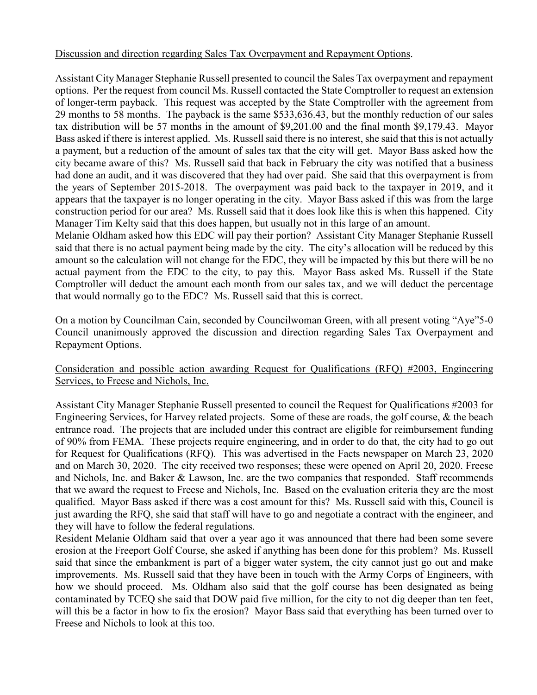# Discussion and direction regarding Sales Tax Overpayment and Repayment Options.

Assistant City Manager Stephanie Russell presented to council the Sales Tax overpayment and repayment options. Per the request from council Ms. Russell contacted the State Comptroller to request an extension of longer-term payback. This request was accepted by the State Comptroller with the agreement from 29 months to 58 months. The payback is the same \$533,636.43, but the monthly reduction of our sales tax distribution will be 57 months in the amount of \$9,201.00 and the final month \$9,179.43. Mayor Bass asked if there is interest applied. Ms. Russell said there is no interest, she said that this is not actually a payment, but a reduction of the amount of sales tax that the city will get. Mayor Bass asked how the city became aware of this? Ms. Russell said that back in February the city was notified that a business had done an audit, and it was discovered that they had over paid. She said that this overpayment is from the years of September 2015-2018. The overpayment was paid back to the taxpayer in 2019, and it appears that the taxpayer is no longer operating in the city. Mayor Bass asked if this was from the large construction period for our area? Ms. Russell said that it does look like this is when this happened. City Manager Tim Kelty said that this does happen, but usually not in this large of an amount.

Melanie Oldham asked how this EDC will pay their portion? Assistant City Manager Stephanie Russell said that there is no actual payment being made by the city. The city's allocation will be reduced by this amount so the calculation will not change for the EDC, they will be impacted by this but there will be no actual payment from the EDC to the city, to pay this. Mayor Bass asked Ms. Russell if the State Comptroller will deduct the amount each month from our sales tax, and we will deduct the percentage that would normally go to the EDC? Ms. Russell said that this is correct.

On a motion by Councilman Cain, seconded by Councilwoman Green, with all present voting "Aye"5-0 Council unanimously approved the discussion and direction regarding Sales Tax Overpayment and Repayment Options.

## Consideration and possible action awarding Request for Qualifications (RFQ) #2003, Engineering Services, to Freese and Nichols, Inc.

Assistant City Manager Stephanie Russell presented to council the Request for Qualifications #2003 for Engineering Services, for Harvey related projects. Some of these are roads, the golf course, & the beach entrance road. The projects that are included under this contract are eligible for reimbursement funding of 90% from FEMA. These projects require engineering, and in order to do that, the city had to go out for Request for Qualifications (RFQ). This was advertised in the Facts newspaper on March 23, 2020 and on March 30, 2020. The city received two responses; these were opened on April 20, 2020. Freese and Nichols, Inc. and Baker & Lawson, Inc. are the two companies that responded. Staff recommends that we award the request to Freese and Nichols, Inc. Based on the evaluation criteria they are the most qualified. Mayor Bass asked if there was a cost amount for this? Ms. Russell said with this, Council is just awarding the RFQ, she said that staff will have to go and negotiate a contract with the engineer, and they will have to follow the federal regulations.

Resident Melanie Oldham said that over a year ago it was announced that there had been some severe erosion at the Freeport Golf Course, she asked if anything has been done for this problem? Ms. Russell said that since the embankment is part of a bigger water system, the city cannot just go out and make improvements. Ms. Russell said that they have been in touch with the Army Corps of Engineers, with how we should proceed. Ms. Oldham also said that the golf course has been designated as being contaminated by TCEQ she said that DOW paid five million, for the city to not dig deeper than ten feet, will this be a factor in how to fix the erosion? Mayor Bass said that everything has been turned over to Freese and Nichols to look at this too.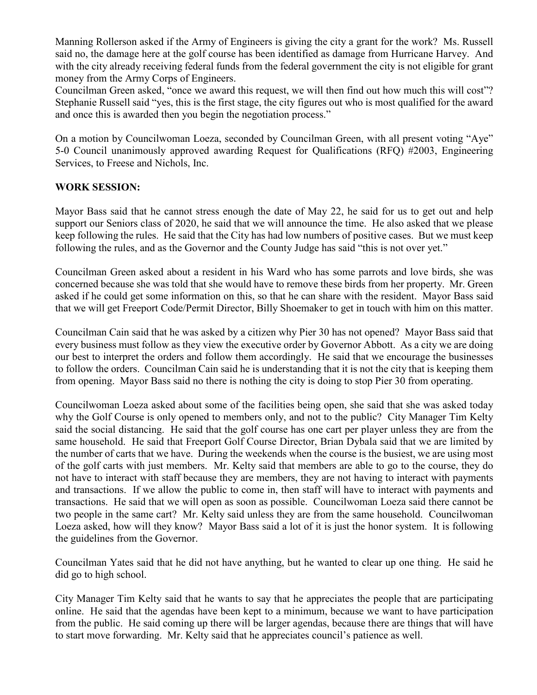Manning Rollerson asked if the Army of Engineers is giving the city a grant for the work? Ms. Russell said no, the damage here at the golf course has been identified as damage from Hurricane Harvey. And with the city already receiving federal funds from the federal government the city is not eligible for grant money from the Army Corps of Engineers.

Councilman Green asked, "once we award this request, we will then find out how much this will cost"? Stephanie Russell said "yes, this is the first stage, the city figures out who is most qualified for the award and once this is awarded then you begin the negotiation process."

On a motion by Councilwoman Loeza, seconded by Councilman Green, with all present voting "Aye" 5-0 Council unanimously approved awarding Request for Qualifications (RFQ) #2003, Engineering Services, to Freese and Nichols, Inc.

## **WORK SESSION:**

Mayor Bass said that he cannot stress enough the date of May 22, he said for us to get out and help support our Seniors class of 2020, he said that we will announce the time. He also asked that we please keep following the rules. He said that the City has had low numbers of positive cases. But we must keep following the rules, and as the Governor and the County Judge has said "this is not over yet."

Councilman Green asked about a resident in his Ward who has some parrots and love birds, she was concerned because she was told that she would have to remove these birds from her property. Mr. Green asked if he could get some information on this, so that he can share with the resident. Mayor Bass said that we will get Freeport Code/Permit Director, Billy Shoemaker to get in touch with him on this matter.

Councilman Cain said that he was asked by a citizen why Pier 30 has not opened? Mayor Bass said that every business must follow as they view the executive order by Governor Abbott. As a city we are doing our best to interpret the orders and follow them accordingly. He said that we encourage the businesses to follow the orders. Councilman Cain said he is understanding that it is not the city that is keeping them from opening. Mayor Bass said no there is nothing the city is doing to stop Pier 30 from operating.

Councilwoman Loeza asked about some of the facilities being open, she said that she was asked today why the Golf Course is only opened to members only, and not to the public? City Manager Tim Kelty said the social distancing. He said that the golf course has one cart per player unless they are from the same household. He said that Freeport Golf Course Director, Brian Dybala said that we are limited by the number of carts that we have. During the weekends when the course is the busiest, we are using most of the golf carts with just members. Mr. Kelty said that members are able to go to the course, they do not have to interact with staff because they are members, they are not having to interact with payments and transactions. If we allow the public to come in, then staff will have to interact with payments and transactions. He said that we will open as soon as possible. Councilwoman Loeza said there cannot be two people in the same cart? Mr. Kelty said unless they are from the same household. Councilwoman Loeza asked, how will they know? Mayor Bass said a lot of it is just the honor system. It is following the guidelines from the Governor.

Councilman Yates said that he did not have anything, but he wanted to clear up one thing. He said he did go to high school.

City Manager Tim Kelty said that he wants to say that he appreciates the people that are participating online. He said that the agendas have been kept to a minimum, because we want to have participation from the public. He said coming up there will be larger agendas, because there are things that will have to start move forwarding. Mr. Kelty said that he appreciates council's patience as well.